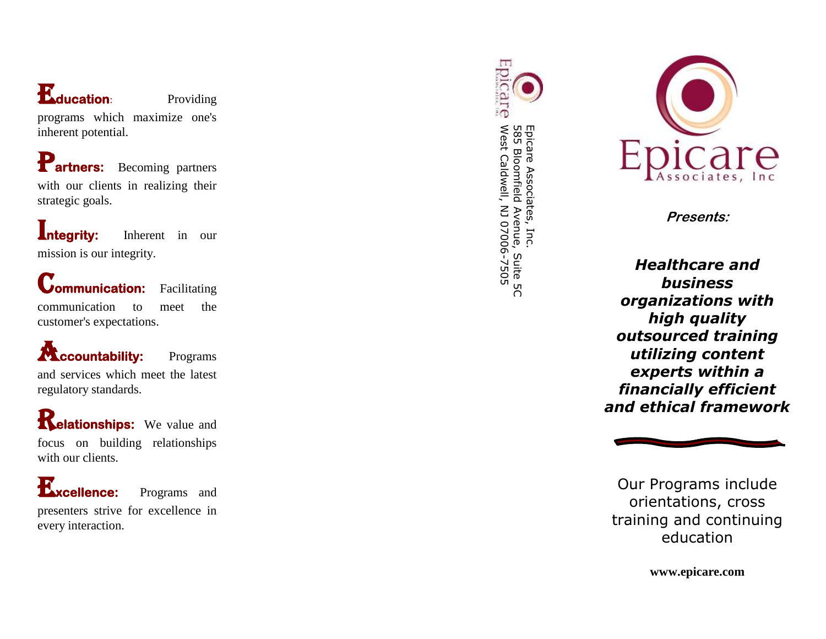# E**ducation**

**Providing** 

programs which maximize one's inherent potential.

Partners: Becoming partners with our clients in realizing their strategic goals.

**Integrity:** Inherent in our mission is our integrity.

**Communication:** Facilitating communication to meet the customer's expectations.

**Accountability:** Programs and services which meet the latest regulatory standards.

**Relationships:** We value and focus on building relationships with our clients.

E**xcellence:** Programs and presenters strive for excellence in every interaction.

Epicare West Caldwell, NJ 07006-7505 Epicare Associates, Inc.<br>585 Bloomfield Avenue, Suite 5C West Caldwell, NJ 07006 585 Bloomfield Avenue, Suite 5C Epicare Associates, Inc.



**Presents:**

*Healthcare and business organizations with high quality outsourced training utilizing content experts within a financially efficient and ethical framework*



Our Programs include orientations, cross training and continuing education

**www.epicare.com**